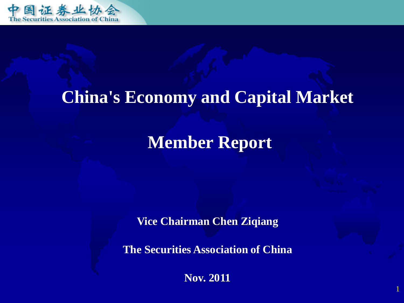

## **China's Economy and Capital Market**

### **Member Report**

**Vice Chairman Chen Ziqiang**

**The Securities Association of China**

**Nov. 2011**

1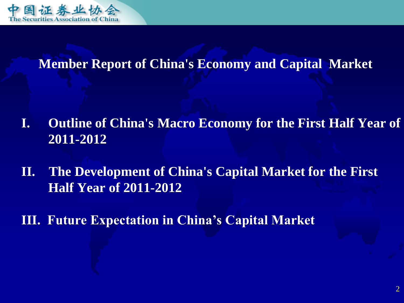

#### **Member Report of China's Economy and Capital Market**

- **I. Outline of China's Macro Economy for the First Half Year of 2011-2012**
- **II. The Development of China's Capital Market for the First Half Year of 2011-2012**
- **III. Future Expectation in China's Capital Market**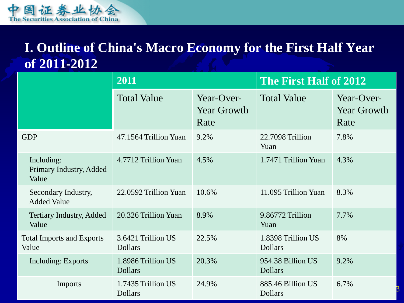

#### **I. Outline of China's Macro Economy for the First Half Year of 2011-2012**

|                                                | 2011                                 |                                          | The First Half of 2012               |                                          |
|------------------------------------------------|--------------------------------------|------------------------------------------|--------------------------------------|------------------------------------------|
|                                                | <b>Total Value</b>                   | Year-Over-<br><b>Year Growth</b><br>Rate | <b>Total Value</b>                   | Year-Over-<br><b>Year Growth</b><br>Rate |
| <b>GDP</b>                                     | 47.1564 Trillion Yuan                | 9.2%                                     | 22.7098 Trillion<br>Yuan             | 7.8%                                     |
| Including:<br>Primary Industry, Added<br>Value | 4.7712 Trillion Yuan                 | 4.5%                                     | 1.7471 Trillion Yuan                 | 4.3%                                     |
| Secondary Industry,<br><b>Added Value</b>      | 22.0592 Trillion Yuan                | 10.6%                                    | 11.095 Trillion Yuan                 | 8.3%                                     |
| <b>Tertiary Industry, Added</b><br>Value       | 20.326 Trillion Yuan                 | 8.9%                                     | 9.86772 Trillion<br>Yuan             | 7.7%                                     |
| <b>Total Imports and Exports</b><br>Value      | 3.6421 Trillion US<br><b>Dollars</b> | 22.5%                                    | 1.8398 Trillion US<br><b>Dollars</b> | 8%                                       |
| <b>Including: Exports</b>                      | 1.8986 Trillion US<br><b>Dollars</b> | 20.3%                                    | 954.38 Billion US<br><b>Dollars</b>  | 9.2%                                     |
| Imports                                        | 1.7435 Trillion US<br><b>Dollars</b> | 24.9%                                    | 885.46 Billion US<br><b>Dollars</b>  | 6.7%                                     |

3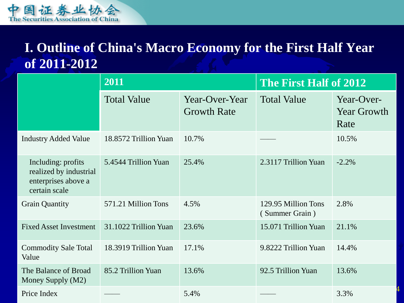

#### **I. Outline of China's Macro Economy for the First Half Year of 2011-2012**

|                                                                                      | 2011                  |                                      | The First Half of 2012                |                                          |
|--------------------------------------------------------------------------------------|-----------------------|--------------------------------------|---------------------------------------|------------------------------------------|
|                                                                                      | <b>Total Value</b>    | Year-Over-Year<br><b>Growth Rate</b> | <b>Total Value</b>                    | Year-Over-<br><b>Year Growth</b><br>Rate |
| <b>Industry Added Value</b>                                                          | 18.8572 Trillion Yuan | 10.7%                                |                                       | 10.5%                                    |
| Including: profits<br>realized by industrial<br>enterprises above a<br>certain scale | 5.4544 Trillion Yuan  | 25.4%                                | 2.3117 Trillion Yuan                  | $-2.2%$                                  |
| <b>Grain Quantity</b>                                                                | 571.21 Million Tons   | 4.5%                                 | 129.95 Million Tons<br>(Summer Grain) | 2.8%                                     |
| <b>Fixed Asset Investment</b>                                                        | 31.1022 Trillion Yuan | 23.6%                                | 15.071 Trillion Yuan                  | 21.1%                                    |
| <b>Commodity Sale Total</b><br>Value                                                 | 18.3919 Trillion Yuan | 17.1%                                | 9.8222 Trillion Yuan                  | 14.4%                                    |
| The Balance of Broad<br>Money Supply (M2)                                            | 85.2 Trillion Yuan    | 13.6%                                | 92.5 Trillion Yuan                    | 13.6%                                    |
| Price Index                                                                          |                       | 5.4%                                 |                                       | 3.3%                                     |

4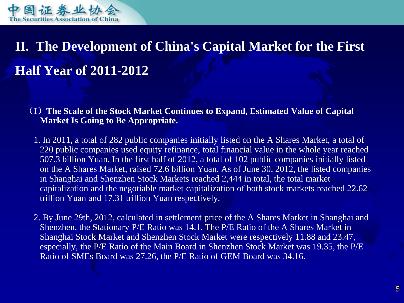

(**I**)**The Scale of the Stock Market Continues to Expand, Estimated Value of Capital Market Is Going to Be Appropriate.**

 1. In 2011, a total of 282 public companies initially listed on the A Shares Market, a total of 220 public companies used equity refinance, total financial value in the whole year reached 507.3 billion Yuan. In the first half of 2012, a total of 102 public companies initially listed on the A Shares Market, raised 72.6 billion Yuan. As of June 30, 2012, the listed companies in Shanghai and Shenzhen Stock Markets reached 2,444 in total, the total market capitalization and the negotiable market capitalization of both stock markets reached 22.62 trillion Yuan and 17.31 trillion Yuan respectively.

 2. By June 29th, 2012, calculated in settlement price of the A Shares Market in Shanghai and Shenzhen, the Stationary P/E Ratio was 14.1. The P/E Ratio of the A Shares Market in Shanghai Stock Market and Shenzhen Stock Market were respectively 11.88 and 23.47, especially, the P/E Ratio of the Main Board in Shenzhen Stock Market was 19.35, the P/E Ratio of SMEs Board was 27.26, the P/E Ratio of GEM Board was 34.16.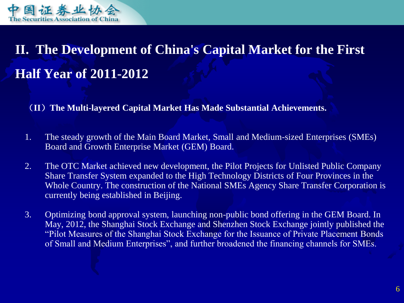

(**II**)**The Multi-layered Capital Market Has Made Substantial Achievements.** 

- 1. The steady growth of the Main Board Market, Small and Medium-sized Enterprises (SMEs) Board and Growth Enterprise Market (GEM) Board.
- 2. The OTC Market achieved new development, the Pilot Projects for Unlisted Public Company Share Transfer System expanded to the High Technology Districts of Four Provinces in the Whole Country. The construction of the National SMEs Agency Share Transfer Corporation is currently being established in Beijing.
- 3. Optimizing bond approval system, launching non-public bond offering in the GEM Board. In May, 2012, the Shanghai Stock Exchange and Shenzhen Stock Exchange jointly published the "Pilot Measures of the Shanghai Stock Exchange for the Issuance of Private Placement Bonds of Small and Medium Enterprises", and further broadened the financing channels for SMEs.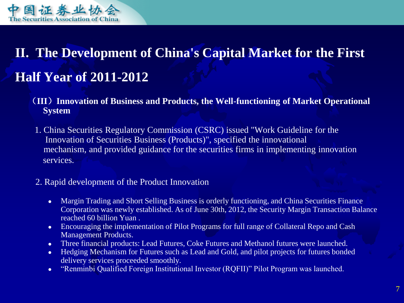

- (**III**)**Innovation of Business and Products, the Well-functioning of Market Operational System**
- 1. China Securities Regulatory Commission (CSRC) issued "Work Guideline for the Innovation of Securities Business (Products)", specified the innovational mechanism, and provided guidance for the securities firms in implementing innovation services.
- 2. Rapid development of the Product Innovation
	- Margin Trading and Short Selling Business is orderly functioning, and China Securities Finance Corporation was newly established. As of June 30th, 2012, the Security Margin Transaction Balance reached 60 billion Yuan .
	- Encouraging the implementation of Pilot Programs for full range of Collateral Repo and Cash Management Products.
	- Three financial products: Lead Futures, Coke Futures and Methanol futures were launched.
	- Hedging Mechanism for Futures such as Lead and Gold, and pilot projects for futures bonded delivery services proceeded smoothly.
	- "Renminbi Qualified Foreign Institutional Investor (RQFII)" Pilot Program was launched.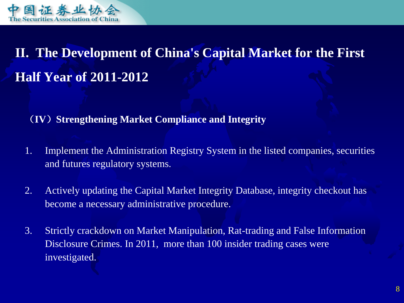

(**IV**)**Strengthening Market Compliance and Integrity** 

- 1. Implement the Administration Registry System in the listed companies, securities and futures regulatory systems.
- 2. Actively updating the Capital Market Integrity Database, integrity checkout has become a necessary administrative procedure.
- 3. Strictly crackdown on Market Manipulation, Rat-trading and False Information Disclosure Crimes. In 2011, more than 100 insider trading cases were investigated.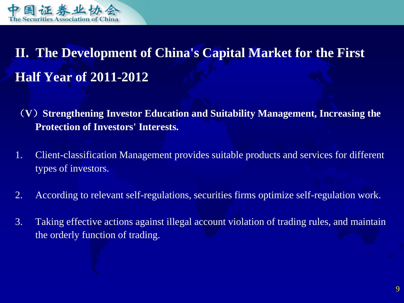

- (**V**)**Strengthening Investor Education and Suitability Management, Increasing the Protection of Investors' Interests.**
- 1. Client-classification Management provides suitable products and services for different types of investors.
- 2. According to relevant self-regulations, securities firms optimize self-regulation work.
- 3. Taking effective actions against illegal account violation of trading rules, and maintain the orderly function of trading.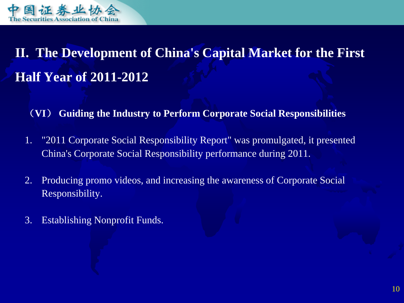

(**VI**) **Guiding the Industry to Perform Corporate Social Responsibilities**

- 1. "2011 Corporate Social Responsibility Report" was promulgated, it presented China's Corporate Social Responsibility performance during 2011.
- 2. Producing promo videos, and increasing the awareness of Corporate Social Responsibility.
- 3. Establishing Nonprofit Funds.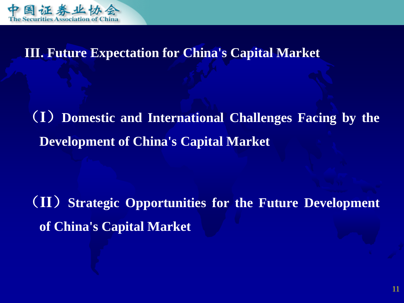

(**I**)**Domestic and International Challenges Facing by the Development of China's Capital Market**

(**II**)**Strategic Opportunities for the Future Development of China's Capital Market**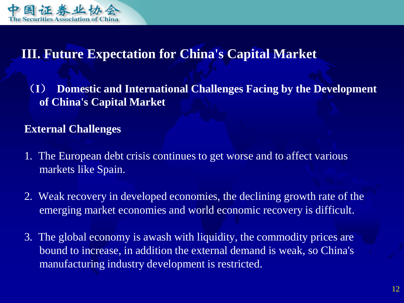

(**I**) **Domestic and International Challenges Facing by the Development of China's Capital Market**

#### **External Challenges**

- 1. The European debt crisis continues to get worse and to affect various markets like Spain.
- 2. Weak recovery in developed economies, the declining growth rate of the emerging market economies and world economic recovery is difficult.
- 3. The global economy is awash with liquidity, the commodity prices are bound to increase, in addition the external demand is weak, so China's manufacturing industry development is restricted.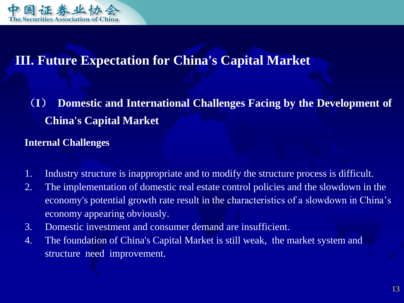

(**I**) **Domestic and International Challenges Facing by the Development of China's Capital Market**

#### **Internal Challenges**

- 1. Industry structure is inappropriate and to modify the structure process is difficult.
- 2. The implementation of domestic real estate control policies and the slowdown in the economy's potential growth rate result in the characteristics of a slowdown in China's economy appearing obviously.
- 3. Domestic investment and consumer demand are insufficient.
- 4. The foundation of China's Capital Market is still weak, the market system and structure need improvement.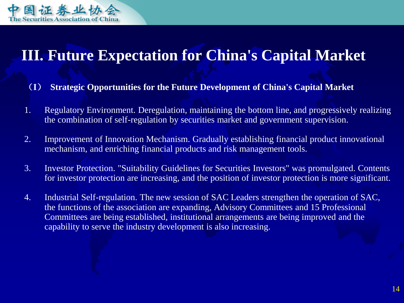

- (**I**) **Strategic Opportunities for the Future Development of China's Capital Market**
- 1. Regulatory Environment. Deregulation, maintaining the bottom line, and progressively realizing the combination of self-regulation by securities market and government supervision.
- 2. Improvement of Innovation Mechanism. Gradually establishing financial product innovational mechanism, and enriching financial products and risk management tools.
- 3. Investor Protection. "Suitability Guidelines for Securities Investors" was promulgated. Contents for investor protection are increasing, and the position of investor protection is more significant.
- 4. Industrial Self-regulation. The new session of SAC Leaders strengthen the operation of SAC, the functions of the association are expanding, Advisory Committees and 15 Professional Committees are being established, institutional arrangements are being improved and the capability to serve the industry development is also increasing.